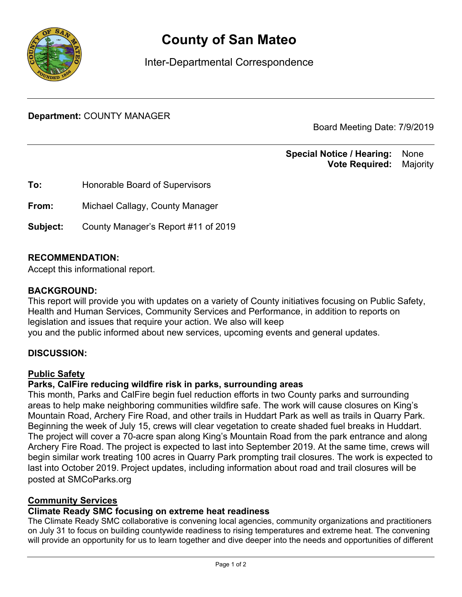

# **County of San Mateo**

Inter-Departmental Correspondence

**Department:** COUNTY MANAGER

Board Meeting Date: 7/9/2019

#### **Special Notice / Hearing:** None\_\_ **Vote Required:** Majority

**To:** Honorable Board of Supervisors **From:** Michael Callagy, County Manager **Subject:** County Manager's Report #11 of 2019

## **RECOMMENDATION:**

Accept this informational report.

#### **BACKGROUND:**

This report will provide you with updates on a variety of County initiatives focusing on Public Safety, Health and Human Services, Community Services and Performance, in addition to reports on legislation and issues that require your action. We also will keep you and the public informed about new services, upcoming events and general updates.

## **DISCUSSION:**

#### Public Safety

#### **Parks, CalFire reducing wildfire risk in parks, surrounding areas**

This month, Parks and CalFire begin fuel reduction efforts in two County parks and surrounding areas to help make neighboring communities wildfire safe. The work will cause closures on King's Mountain Road, Archery Fire Road, and other trails in Huddart Park as well as trails in Quarry Park. Beginning the week of July 15, crews will clear vegetation to create shaded fuel breaks in Huddart. The project will cover a 70-acre span along King's Mountain Road from the park entrance and along Archery Fire Road. The project is expected to last into September 2019. At the same time, crews will begin similar work treating 100 acres in Quarry Park prompting trail closures. The work is expected to last into October 2019. Project updates, including information about road and trail closures will be posted at SMCoParks.org

#### Community Services

#### **Climate Ready SMC focusing on extreme heat readiness**

The Climate Ready SMC collaborative is convening local agencies, community organizations and practitioners on July 31 to focus on building countywide readiness to rising temperatures and extreme heat. The convening will provide an opportunity for us to learn together and dive deeper into the needs and opportunities of different